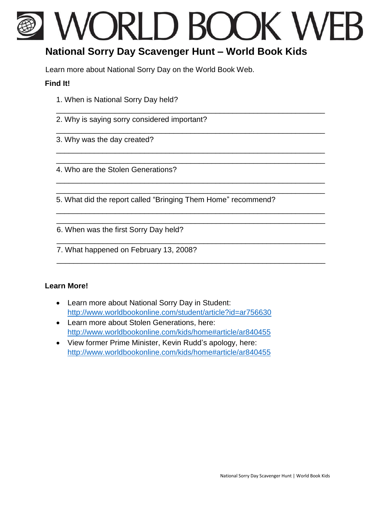# VORLD BOOK WE

\_\_\_\_\_\_\_\_\_\_\_\_\_\_\_\_\_\_\_\_\_\_\_\_\_\_\_\_\_\_\_\_\_\_\_\_\_\_\_\_\_\_\_\_\_\_\_\_\_\_\_\_\_\_\_\_\_\_\_\_\_\_\_\_

\_\_\_\_\_\_\_\_\_\_\_\_\_\_\_\_\_\_\_\_\_\_\_\_\_\_\_\_\_\_\_\_\_\_\_\_\_\_\_\_\_\_\_\_\_\_\_\_\_\_\_\_\_\_\_\_\_\_\_\_\_\_\_\_

\_\_\_\_\_\_\_\_\_\_\_\_\_\_\_\_\_\_\_\_\_\_\_\_\_\_\_\_\_\_\_\_\_\_\_\_\_\_\_\_\_\_\_\_\_\_\_\_\_\_\_\_\_\_\_\_\_\_\_\_\_\_\_\_ \_\_\_\_\_\_\_\_\_\_\_\_\_\_\_\_\_\_\_\_\_\_\_\_\_\_\_\_\_\_\_\_\_\_\_\_\_\_\_\_\_\_\_\_\_\_\_\_\_\_\_\_\_\_\_\_\_\_\_\_\_\_\_\_

\_\_\_\_\_\_\_\_\_\_\_\_\_\_\_\_\_\_\_\_\_\_\_\_\_\_\_\_\_\_\_\_\_\_\_\_\_\_\_\_\_\_\_\_\_\_\_\_\_\_\_\_\_\_\_\_\_\_\_\_\_\_\_\_ \_\_\_\_\_\_\_\_\_\_\_\_\_\_\_\_\_\_\_\_\_\_\_\_\_\_\_\_\_\_\_\_\_\_\_\_\_\_\_\_\_\_\_\_\_\_\_\_\_\_\_\_\_\_\_\_\_\_\_\_\_\_\_\_

\_\_\_\_\_\_\_\_\_\_\_\_\_\_\_\_\_\_\_\_\_\_\_\_\_\_\_\_\_\_\_\_\_\_\_\_\_\_\_\_\_\_\_\_\_\_\_\_\_\_\_\_\_\_\_\_\_\_\_\_\_\_\_\_ \_\_\_\_\_\_\_\_\_\_\_\_\_\_\_\_\_\_\_\_\_\_\_\_\_\_\_\_\_\_\_\_\_\_\_\_\_\_\_\_\_\_\_\_\_\_\_\_\_\_\_\_\_\_\_\_\_\_\_\_\_\_\_\_

\_\_\_\_\_\_\_\_\_\_\_\_\_\_\_\_\_\_\_\_\_\_\_\_\_\_\_\_\_\_\_\_\_\_\_\_\_\_\_\_\_\_\_\_\_\_\_\_\_\_\_\_\_\_\_\_\_\_\_\_\_\_\_\_

\_\_\_\_\_\_\_\_\_\_\_\_\_\_\_\_\_\_\_\_\_\_\_\_\_\_\_\_\_\_\_\_\_\_\_\_\_\_\_\_\_\_\_\_\_\_\_\_\_\_\_\_\_\_\_\_\_\_\_\_\_\_\_\_

## **National Sorry Day Scavenger Hunt – World Book Kids**

Learn more about National Sorry Day on the World Book Web.

#### **Find It!**

- 1. When is National Sorry Day held?
- 2. Why is saying sorry considered important?
- 3. Why was the day created?
- 4. Who are the Stolen Generations?

5. What did the report called "Bringing Them Home" recommend?

6. When was the first Sorry Day held?

7. What happened on February 13, 2008?

### **Learn More!**

- Learn more about National Sorry Day in Student: <http://www.worldbookonline.com/student/article?id=ar756630>
- Learn more about Stolen Generations, here: <http://www.worldbookonline.com/kids/home#article/ar840455>
- View former Prime Minister, Kevin Rudd's apology, here: <http://www.worldbookonline.com/kids/home#article/ar840455>